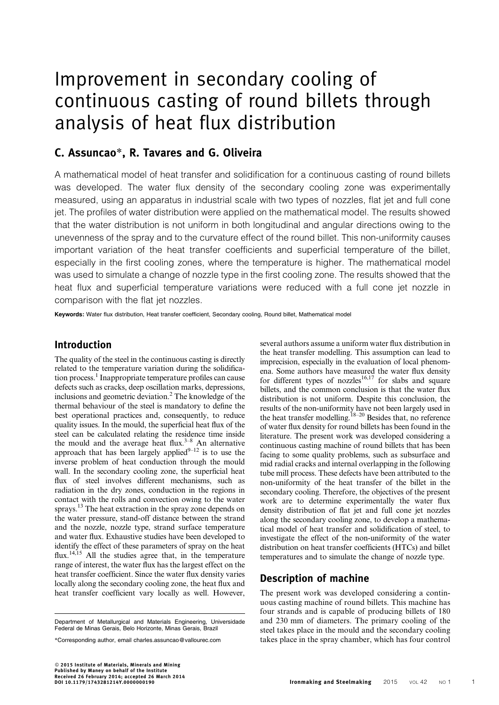# Improvement in secondary cooling of continuous casting of round billets through analysis of heat flux distribution

# C. Assuncao\*, R. Tavares and G. Oliveira

A mathematical model of heat transfer and solidification for a continuous casting of round billets was developed. The water flux density of the secondary cooling zone was experimentally measured, using an apparatus in industrial scale with two types of nozzles, flat jet and full cone jet. The profiles of water distribution were applied on the mathematical model. The results showed that the water distribution is not uniform in both longitudinal and angular directions owing to the unevenness of the spray and to the curvature effect of the round billet. This non-uniformity causes important variation of the heat transfer coefficients and superficial temperature of the billet, especially in the first cooling zones, where the temperature is higher. The mathematical model was used to simulate a change of nozzle type in the first cooling zone. The results showed that the heat flux and superficial temperature variations were reduced with a full cone jet nozzle in comparison with the flat jet nozzles.

Keywords: Water flux distribution, Heat transfer coefficient, Secondary cooling, Round billet, Mathematical model

# Introduction

The quality of the steel in the continuous casting is directly related to the temperature variation during the solidification process.<sup>1</sup> Inappropriate temperature profiles can cause defects such as cracks, deep oscillation marks, depressions, inclusions and geometric deviation.<sup>2</sup> The knowledge of the thermal behaviour of the steel is mandatory to define the best operational practices and, consequently, to reduce quality issues. In the mould, the superficial heat flux of the steel can be calculated relating the residence time inside the mould and the average heat flux. $3-8$  An alternative approach that has been largely applied $9-12$  is to use the inverse problem of heat conduction through the mould wall. In the secondary cooling zone, the superficial heat flux of steel involves different mechanisms, such as radiation in the dry zones, conduction in the regions in contact with the rolls and convection owing to the water sprays.<sup>13</sup> The heat extraction in the spray zone depends on the water pressure, stand-off distance between the strand and the nozzle, nozzle type, strand surface temperature and water flux. Exhaustive studies have been developed to identify the effect of these parameters of spray on the heat flux.<sup>14,15</sup> All the studies agree that, in the temperature range of interest, the water flux has the largest effect on the heat transfer coefficient. Since the water flux density varies locally along the secondary cooling zone, the heat flux and heat transfer coefficient vary locally as well. However,

\*Corresponding author, email charles.assuncao@vallourec.com

the heat transfer modelling. This assumption can lead to imprecision, especially in the evaluation of local phenomena. Some authors have measured the water flux density for different types of nozzles $16,17$  for slabs and square billets, and the common conclusion is that the water flux distribution is not uniform. Despite this conclusion, the results of the non-uniformity have not been largely used in the heat transfer modelling.<sup>18–20</sup> Besides that, no reference of water flux density for round billets has been found in the literature. The present work was developed considering a continuous casting machine of round billets that has been facing to some quality problems, such as subsurface and mid radial cracks and internal overlapping in the following tube mill process. These defects have been attributed to the non-uniformity of the heat transfer of the billet in the secondary cooling. Therefore, the objectives of the present work are to determine experimentally the water flux density distribution of flat jet and full cone jet nozzles along the secondary cooling zone, to develop a mathematical model of heat transfer and solidification of steel, to investigate the effect of the non-uniformity of the water distribution on heat transfer coefficients (HTCs) and billet temperatures and to simulate the change of nozzle type.

several authors assume a uniform water flux distribution in

# Description of machine

The present work was developed considering a continuous casting machine of round billets. This machine has four strands and is capable of producing billets of 180 and 230 mm of diameters. The primary cooling of the steel takes place in the mould and the secondary cooling takes place in the spray chamber, which has four control

Department of Metallurgical and Materials Engineering, Universidade Federal de Minas Gerais, Belo Horizonte, Minas Gerais, Brazil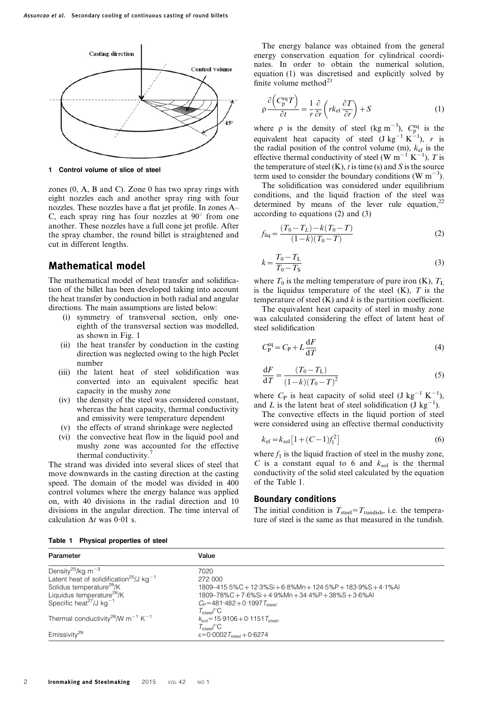

1 Control volume of slice of steel

zones (0, A, B and C). Zone 0 has two spray rings with eight nozzles each and another spray ring with four nozzles. These nozzles have a flat jet profile. In zones A– C, each spray ring has four nozzles at  $90^\circ$  from one another. These nozzles have a full cone jet profile. After the spray chamber, the round billet is straightened and cut in different lengths.

### Mathematical model

The mathematical model of heat transfer and solidification of the billet has been developed taking into account the heat transfer by conduction in both radial and angular directions. The main assumptions are listed below:

- (i) symmetry of transversal section, only oneeighth of the transversal section was modelled, as shown in Fig. 1
- (ii) the heat transfer by conduction in the casting direction was neglected owing to the high Peclet number
- (iii) the latent heat of steel solidification was converted into an equivalent specific heat capacity in the mushy zone
- (iv) the density of the steel was considered constant, whereas the heat capacity, thermal conductivity and emissivity were temperature dependent
- (v) the effects of strand shrinkage were neglected
- (vi) the convective heat flow in the liquid pool and mushy zone was accounted for the effective thermal conductivity.

The strand was divided into several slices of steel that move downwards in the casting direction at the casting speed. The domain of the model was divided in 400 control volumes where the energy balance was applied on, with 40 divisions in the radial direction and 10 divisions in the angular direction. The time interval of calculation  $\Delta t$  was 0.01 s.

The energy balance was obtained from the general energy conservation equation for cylindrical coordinates. In order to obtain the numerical solution, equation (1) was discretised and explicitly solved by finite volume method $21$ 

-

$$
\rho \frac{\partial \left( C_{\mathbf{p}}^{\mathbf{eq}} T \right)}{\partial t} = \frac{1}{r} \frac{\partial}{\partial r} \left( r k_{\mathbf{ef}} \frac{\partial T}{\partial r} \right) + S \tag{1}
$$

where  $\rho$  is the density of steel (kg m<sup>-3</sup>),  $C_p^{\text{eq}}$  is the equivalent heat capacity of steel  $(J \text{ kg}^{-1} \text{ K}^{-1})$ , r is the radial position of the control volume (m),  $k_{\text{ef}}$  is the effective thermal conductivity of steel (W m<sup>-1</sup> K<sup>-1</sup>), T is the temperature of steel  $(K)$ , t is time (s) and S is the source term used to consider the boundary conditions (W  $m^{-3}$ ).

The solidification was considered under equilibrium conditions, and the liquid fraction of the steel was determined by means of the lever rule equation,  $2^2$ according to equations (2) and (3)

$$
f_{\rm liq} = \frac{(T_0 - T_L) - k(T_0 - T)}{(1 - k)(T_0 - T)}
$$
\n(2)

$$
k = \frac{T_0 - T_L}{T_0 - T_S} \tag{3}
$$

where  $T_0$  is the melting temperature of pure iron (K),  $T_{\text{L}}$ is the liquidus temperature of the steel  $(K)$ , T is the temperature of steel  $(K)$  and k is the partition coefficient.

The equivalent heat capacity of steel in mushy zone was calculated considering the effect of latent heat of steel solidification

$$
C_{\rm P}^{\rm eq} = C_{\rm P} + L \frac{\mathrm{d}F}{\mathrm{d}T} \tag{4}
$$

$$
\frac{dF}{dT} = \frac{(T_0 - T_L)}{(1 - k)(T_0 - T)^2}
$$
\n(5)

where  $C_P$  is heat capacity of solid steel (J kg<sup>-1</sup> K<sup>-1</sup>), and L is the latent heat of steel solidification (J  $kg^{-1}$ ).

The convective effects in the liquid portion of steel were considered using an effective thermal conductivity

$$
k_{\rm ef} = k_{\rm sol} \left[ 1 + (C - 1) f_1^2 \right] \tag{6}
$$

where  $f_1$  is the liquid fraction of steel in the mushy zone, C is a constant equal to 6 and  $k_{sol}$  is the thermal conductivity of the solid steel calculated by the equation of the Table 1.

#### Boundary conditions

The initial condition is  $T_{\text{steel}}=T_{\text{tundish}}$ , i.e. the temperature of steel is the same as that measured in the tundish.

| Parameter                                                             | Value                                                        |
|-----------------------------------------------------------------------|--------------------------------------------------------------|
| Density <sup>25</sup> /kg m <sup>-3</sup>                             | 7020                                                         |
| Latent heat of solidification <sup>25</sup> /J $kg^{-1}$              | 272 000                                                      |
| Solidus temperature <sup>26</sup> /K                                  | 1809-415:5%C + 12:3%Si + 6:8%Mn + 124:5%P + 183:9%S + 4:1%Al |
| Liquidus temperature <sup>26</sup> /K                                 | 1809-78%C+7.6%Si+4.9%Mn+34.4%P+38%S+3.6%Al                   |
| Specific heat <sup>27</sup> /J kg <sup>-1</sup>                       | $C_P = 481.482 + 0.1997$ $T_{\text{stel}}$                   |
|                                                                       | $T_{\text{steel}}$ /°C                                       |
| Thermal conductivity <sup>28</sup> /W m <sup>-1</sup> K <sup>-1</sup> | $k_{\rm sol}$ = 15.9106 + 0.1151 $T_{\rm stel}$              |
|                                                                       | $T_{\text{steel}}$ /°C                                       |
| Emissivity <sup>29</sup>                                              | $\varepsilon = 0.0002 T_{\text{stel}} + 0.6274$              |

Table 1 Physical properties of steel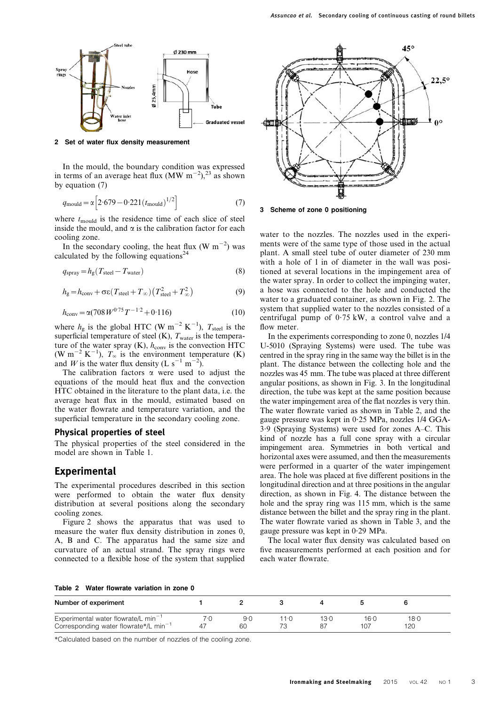

2 Set of water flux density measurement

In the mould, the boundary condition was expressed in terms of an average heat flux  $(MW \text{ m}^{-2})$ ,<sup>23</sup> as shown by equation (7)

$$
q_{\text{mould}} = \alpha \left[ 2.679 - 0.221 \left( t_{\text{mould}} \right)^{1/2} \right] \tag{7}
$$

where  $t_{\text{mould}}$  is the residence time of each slice of steel inside the mould, and  $\alpha$  is the calibration factor for each cooling zone.

In the secondary cooling, the heat flux  $(W m^{-2})$  was calculated by the following equations<sup>24</sup>

$$
q_{\rm spray} = h_{\rm g} (T_{\rm steel} - T_{\rm water}) \tag{8}
$$

$$
h_{\rm g} = h_{\rm conv} + \sigma \varepsilon (T_{\rm steel} + T_{\infty}) (T_{\rm steel}^2 + T_{\infty}^2)
$$
 (9)

$$
h_{\text{conv}} = \alpha (708 \, W^{0.75} \, T^{-1.2} + 0.116) \tag{10}
$$

where  $h_{\rm g}$  is the global HTC (W m<sup>-2</sup> K<sup>-1</sup>),  $T_{\rm steel}$  is the superficial temperature of steel  $(K)$ ,  $T_{\text{water}}$  is the temperature of the water spray (K),  $h_{\text{conv}}$  is the convection HTC (W m<sup>-2</sup> K<sup>-1</sup>),  $T_{\infty}$  is the environment temperature (K) and W is the water flux density (L s<sup>-1</sup> m<sup>-2</sup>).

The calibration factors  $\alpha$  were used to adjust the equations of the mould heat flux and the convection HTC obtained in the literature to the plant data, i.e. the average heat flux in the mould, estimated based on the water flowrate and temperature variation, and the superficial temperature in the secondary cooling zone.

#### Physical properties of steel

The physical properties of the steel considered in the model are shown in Table 1.

### Experimental

The experimental procedures described in this section were performed to obtain the water flux density distribution at several positions along the secondary cooling zones.

Figure 2 shows the apparatus that was used to measure the water flux density distribution in zones 0, A, B and C. The apparatus had the same size and curvature of an actual strand. The spray rings were connected to a flexible hose of the system that supplied



3 Scheme of zone 0 positioning

water to the nozzles. The nozzles used in the experiments were of the same type of those used in the actual plant. A small steel tube of outer diameter of 230 mm with a hole of 1 in of diameter in the wall was positioned at several locations in the impingement area of the water spray. In order to collect the impinging water, a hose was connected to the hole and conducted the water to a graduated container, as shown in Fig. 2. The system that supplied water to the nozzles consisted of a centrifugal pump of  $0.75 \text{ kW}$ , a control valve and a flow meter.

In the experiments corresponding to zone 0, nozzles 1/4 U-5010 (Spraying Systems) were used. The tube was centred in the spray ring in the same way the billet is in the plant. The distance between the collecting hole and the nozzles was 45 mm. The tube was placed at three different angular positions, as shown in Fig. 3. In the longitudinal direction, the tube was kept at the same position because the water impingement area of the flat nozzles is very thin. The water flowrate varied as shown in Table 2, and the gauge pressure was kept in 0?25 MPa, nozzles 1/4 GGA-3?9 (Spraying Systems) were used for zones A–C. This kind of nozzle has a full cone spray with a circular impingement area. Symmetries in both vertical and horizontal axes were assumed, and then the measurements were performed in a quarter of the water impingement area. The hole was placed at five different positions in the longitudinal direction and at three positions in the angular direction, as shown in Fig. 4. The distance between the hole and the spray ring was 115 mm, which is the same distance between the billet and the spray ring in the plant. The water flowrate varied as shown in Table 3, and the gauge pressure was kept in 0?29 MPa.

The local water flux density was calculated based on five measurements performed at each position and for each water flowrate.

Table 2 Water flowrate variation in zone 0

| Number of experiment                                                                                 |           |     |            |             |             |  |
|------------------------------------------------------------------------------------------------------|-----------|-----|------------|-------------|-------------|--|
| Experimental water flowrate/L min <sup>-1</sup><br>Corresponding water flowrate*/L min <sup>-1</sup> | 9.0<br>6C | 1.0 | l3·0<br>87 | 16.0<br>107 | 18 O<br>120 |  |

\*Calculated based on the number of nozzles of the cooling zone.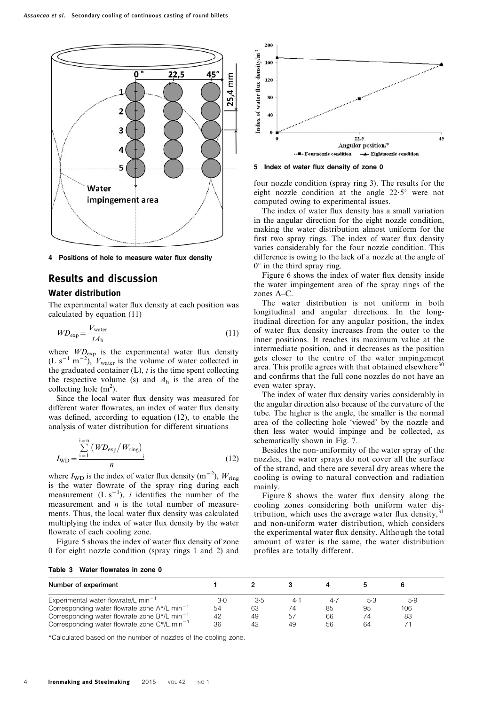

4 Positions of hole to measure water flux density

## Results and discussion

#### Water distribution

The experimental water flux density at each position was calculated by equation (11)

$$
WD_{\rm exp} = \frac{V_{\rm water}}{tA_{\rm h}}\tag{11}
$$

where  $WD_{\text{exp}}$  is the experimental water flux density  $(L s^{-1} m^{-2})$ ,  $V_{\text{water}}$  is the volume of water collected in the graduated container  $(L)$ ,  $t$  is the time spent collecting the respective volume (s) and  $A<sub>h</sub>$  is the area of the collecting hole  $(m^2)$ .

Since the local water flux density was measured for different water flowrates, an index of water flux density was defined, according to equation (12), to enable the analysis of water distribution for different situations

$$
I_{\rm WD} = \frac{\sum_{i=1}^{i=n} (W D_{\rm exp}/W_{\rm ring})}{n}
$$
 (12)

where  $I_{\text{WD}}$  is the index of water flux density (m<sup>-2</sup>),  $W_{\text{ring}}$ is the water flowrate of the spray ring during each measurement  $(L s^{-1})$ , *i* identifies the number of the measurement and  $n$  is the total number of measurements. Thus, the local water flux density was calculated multiplying the index of water flux density by the water flowrate of each cooling zone.

Figure 5 shows the index of water flux density of zone 0 for eight nozzle condition (spray rings 1 and 2) and



5 Index of water flux density of zone 0

four nozzle condition (spray ring 3). The results for the eight nozzle condition at the angle  $22.5^\circ$  were not computed owing to experimental issues.

The index of water flux density has a small variation in the angular direction for the eight nozzle condition, making the water distribution almost uniform for the first two spray rings. The index of water flux density varies considerably for the four nozzle condition. This difference is owing to the lack of a nozzle at the angle of  $0^{\circ}$  in the third spray ring.

Figure 6 shows the index of water flux density inside the water impingement area of the spray rings of the zones A–C.

The water distribution is not uniform in both longitudinal and angular directions. In the longitudinal direction for any angular position, the index of water flux density increases from the outer to the inner positions. It reaches its maximum value at the intermediate position, and it decreases as the position gets closer to the centre of the water impingement area. This profile agrees with that obtained elsewhere $30$ and confirms that the full cone nozzles do not have an even water spray.

The index of water flux density varies considerably in the angular direction also because of the curvature of the tube. The higher is the angle, the smaller is the normal area of the collecting hole 'viewed' by the nozzle and then less water would impinge and be collected, as schematically shown in Fig. 7.

Besides the non-uniformity of the water spray of the nozzles, the water sprays do not cover all the surface of the strand, and there are several dry areas where the cooling is owing to natural convection and radiation mainly.

Figure 8 shows the water flux density along the cooling zones considering both uniform water distribution, which uses the average water flux density, $31$ and non-uniform water distribution, which considers the experimental water flux density. Although the total amount of water is the same, the water distribution profiles are totally different.

|  |  |  | Table 3 Water flowrates in zone 0 |  |  |  |
|--|--|--|-----------------------------------|--|--|--|
|--|--|--|-----------------------------------|--|--|--|

| Number of experiment                                        |     |     |     |            |     |     |
|-------------------------------------------------------------|-----|-----|-----|------------|-----|-----|
| Experimental water flowrate/L min <sup>-1</sup>             | 3·0 | 3.5 | 4.1 | $4\cdot 7$ | 5.3 | 5.9 |
| Corresponding water flowrate zone $A^*/L$ min <sup>-1</sup> | 54  | 63  | 74  | 85         | 95  | 106 |
| Corresponding water flowrate zone B*/L min <sup>-1</sup>    | 42  | 49  | 57  | 66         | 74  | 83  |
| Corresponding water flowrate zone $C^*/L$ min <sup>-1</sup> | 36  | 42  | 49  | 56         | 64  |     |

\*Calculated based on the number of nozzles of the cooling zone.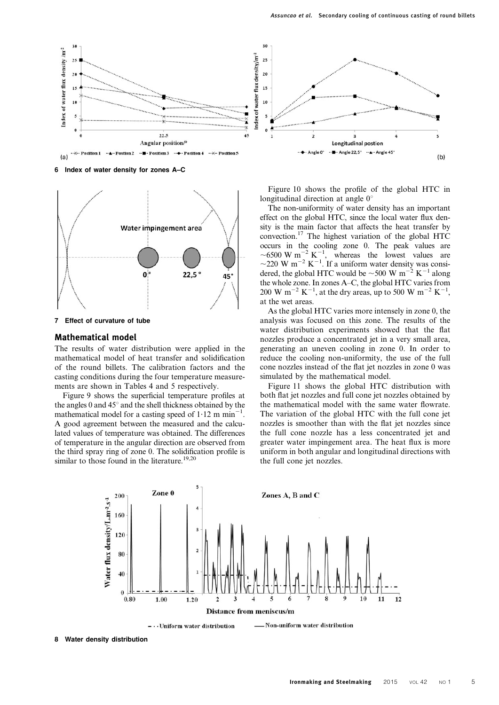

6 Index of water density for zones A–C



7 Effect of curvature of tube

#### Mathematical model

The results of water distribution were applied in the mathematical model of heat transfer and solidification of the round billets. The calibration factors and the casting conditions during the four temperature measurements are shown in Tables 4 and 5 respectively.

Figure 9 shows the superficial temperature profiles at the angles 0 and  $45^\circ$  and the shell thickness obtained by the mathematical model for a casting speed of  $1.12 \text{ m min}^{-1}$ . A good agreement between the measured and the calculated values of temperature was obtained. The differences of temperature in the angular direction are observed from the third spray ring of zone 0. The solidification profile is similar to those found in the literature.<sup>19,20</sup>



Figure 10 shows the profile of the global HTC in longitudinal direction at angle  $0^{\circ}$ 

The non-uniformity of water density has an important effect on the global HTC, since the local water flux density is the main factor that affects the heat transfer by convection.17 The highest variation of the global HTC occurs in the cooling zone 0. The peak values are ~6500 W m<sup>-2</sup> K<sup>-1</sup>, whereas the lowest values are  $\sim$ 220 W m<sup>-2</sup> K<sup>-1</sup>. If a uniform water density was considered, the global HTC would be  $\sim$  500 W m<sup>-2</sup> K<sup>-1</sup> along the whole zone. In zones A–C, the global HTC varies from 200 W m<sup>-2</sup> K<sup>-1</sup>, at the dry areas, up to 500 W m<sup>-2</sup> K<sup>-1</sup>, at the wet areas.

As the global HTC varies more intensely in zone 0, the analysis was focused on this zone. The results of the water distribution experiments showed that the flat nozzles produce a concentrated jet in a very small area, generating an uneven cooling in zone 0. In order to reduce the cooling non-uniformity, the use of the full cone nozzles instead of the flat jet nozzles in zone 0 was simulated by the mathematical model.

Figure 11 shows the global HTC distribution with both flat jet nozzles and full cone jet nozzles obtained by the mathematical model with the same water flowrate. The variation of the global HTC with the full cone jet nozzles is smoother than with the flat jet nozzles since the full cone nozzle has a less concentrated jet and greater water impingement area. The heat flux is more uniform in both angular and longitudinal directions with the full cone jet nozzles.



8 Water density distribution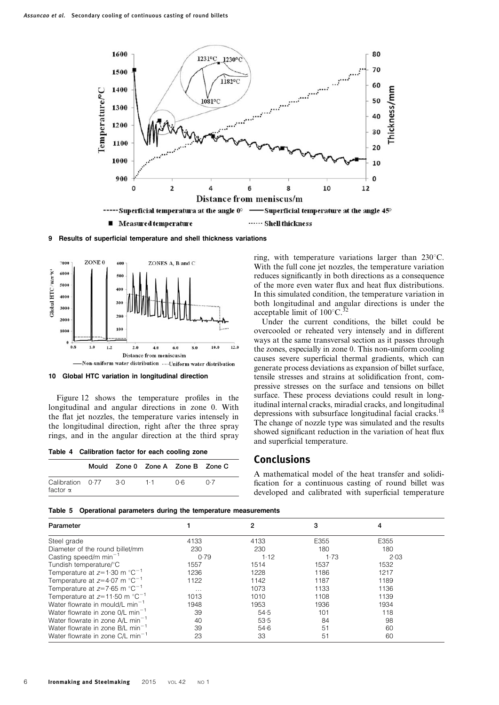

9 Results of superficial temperature and shell thickness variations



10 Global HTC variation in longitudinal direction

Figure 12 shows the temperature profiles in the longitudinal and angular directions in zone 0. With the flat jet nozzles, the temperature varies intensely in the longitudinal direction, right after the three spray rings, and in the angular direction at the third spray

Table 4 Calibration factor for each cooling zone

|                                     |                                 |        | Mould Zone 0 Zone A Zone B Zone C |     |
|-------------------------------------|---------------------------------|--------|-----------------------------------|-----|
| Calibration 0.77<br>factor $\alpha$ | $\mathcal{B} \cdot \mathcal{C}$ | 1.1 በ6 |                                   | 0.7 |

ring, with temperature variations larger than  $230^{\circ}$ C. With the full cone jet nozzles, the temperature variation reduces significantly in both directions as a consequence of the more even water flux and heat flux distributions. In this simulated condition, the temperature variation in both longitudinal and angular directions is under the acceptable limit of  $100^{\circ}$ C.<sup>32</sup>

Under the current conditions, the billet could be overcooled or reheated very intensely and in different ways at the same transversal section as it passes through the zones, especially in zone 0. This non-uniform cooling causes severe superficial thermal gradients, which can generate process deviations as expansion of billet surface, tensile stresses and strains at solidification front, compressive stresses on the surface and tensions on billet surface. These process deviations could result in longitudinal internal cracks, miradial cracks, and longitudinal depressions with subsurface longitudinal facial cracks.<sup>18</sup> The change of nozzle type was simulated and the results showed significant reduction in the variation of heat flux and superficial temperature.

## Conclusions

A mathematical model of the heat transfer and solidification for a continuous casting of round billet was developed and calibrated with superficial temperature



| Parameter                                             |          | 2    | 3    | 4    |  |
|-------------------------------------------------------|----------|------|------|------|--|
| Steel grade                                           | 4133     | 4133 | E355 | E355 |  |
| Diameter of the round billet/mm                       | 230      | 230  | 180  | 180  |  |
| Casting speed/m $min^{-1}$                            | 0.79     | 1.12 | 1.73 | 2.03 |  |
| Tundish temperature/°C                                | 1557     | 1514 | 1537 | 1532 |  |
| Temperature at $z=1.30$ m °C <sup>-1</sup>            | 1236     | 1228 | 1186 | 1217 |  |
| Temperature at $z=4.07$ m $^{\circ}$ C <sup>-1</sup>  | 1122     | 1142 | 1187 | 1189 |  |
| Temperature at $z=7.65$ m °C <sup>-1</sup>            | $\cdots$ | 1073 | 1133 | 1136 |  |
| Temperature at $z=11.50$ m $^{\circ}$ C <sup>-1</sup> | 1013     | 1010 | 1108 | 1139 |  |
| Water flowrate in mould/L min <sup>-1</sup>           | 1948     | 1953 | 1936 | 1934 |  |
| Water flowrate in zone 0/L min <sup>-1</sup>          | 39       | 54.5 | 101  | 118  |  |
| Water flowrate in zone A/L min <sup>-1</sup>          | 40       | 53.5 | 84   | 98   |  |
| Water flowrate in zone B/L min <sup>-1</sup>          | 39       | 54.6 | 51   | 60   |  |
| Water flowrate in zone $C/L$ min <sup>-1</sup>        | 23       | 33   | 51   | 60   |  |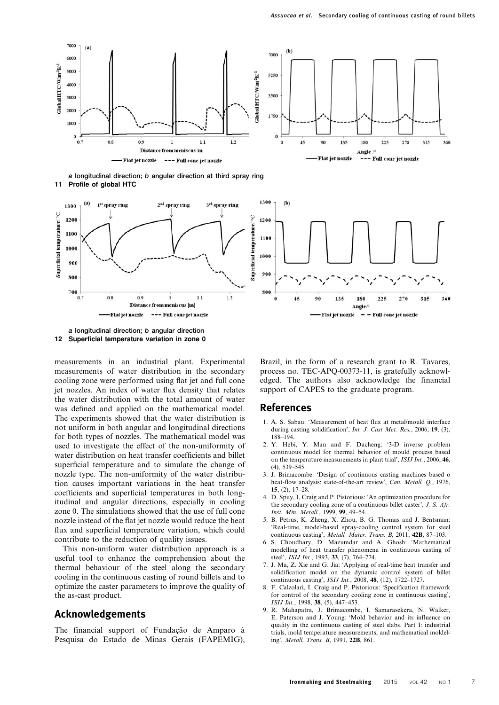

a longitudinal direction; b angular direction at third spray ring 11 Profile of global HTC





measurements in an industrial plant. Experimental measurements of water distribution in the secondary cooling zone were performed using flat jet and full cone jet nozzles. An index of water flux density that relates the water distribution with the total amount of water was defined and applied on the mathematical model. The experiments showed that the water distribution is not uniform in both angular and longitudinal directions for both types of nozzles. The mathematical model was used to investigate the effect of the non-uniformity of water distribution on heat transfer coefficients and billet superficial temperature and to simulate the change of nozzle type. The non-uniformity of the water distribution causes important variations in the heat transfer coefficients and superficial temperatures in both longitudinal and angular directions, especially in cooling zone 0. The simulations showed that the use of full cone nozzle instead of the flat jet nozzle would reduce the heat flux and superficial temperature variation, which could contribute to the reduction of quality issues.

This non-uniform water distribution approach is a useful tool to enhance the comprehension about the thermal behaviour of the steel along the secondary cooling in the continuous casting of round billets and to optimize the caster parameters to improve the quality of the as-cast product.

## Acknowledgements

The financial support of Fundação de Amparo à Pesquisa do Estado de Minas Gerais (FAPEMIG), Brazil, in the form of a research grant to R. Tavares, process no. TEC-APQ-00373-11, is gratefully acknowledged. The authors also acknowledge the financial support of CAPES to the graduate program.

#### References

- 1. A. S. Sabau: 'Measurement of heat flux at metal/mould interface during casting solidification', Int. J. Cast Met. Res., 2006, 19, (3), 188–194.
- 2. Y. Hebi, Y. Man and F. Dacheng: '3-D inverse problem continuous model for thermal behavior of mould process based on the temperature measurements in plant trial', ISIJ Int., 2006, 46, (4), 539–545.
- 3. J. Brimacombe: 'Design of continuous casting machines based o heat-flow analysis: state-of-the-art review', Can. Metall. Q., 1976, 15, (2), 17–28.
- 4. D. Spuy, I, Craig and P. Pistorious: 'An optimization procedure for the secondary cooling zone of a continuous billet caster', J. S. Afr. Inst. Min. Metall., 1999, 99, 49–54.
- 5. B. Petrus, K. Zheng, X. Zhou, B. G. Thomas and J. Bentsman: 'Real-time, model-based spray-cooling control system for steel continuous casting', Metall. Mater. Trans. B, 2011, 42B, 87–103.
- 6. S. Choudhary, D. Mazumdar and A. Ghosh: 'Mathematical modelling of heat transfer phenomena in continuous casting of steel', *ISIJ Int.*, 1993, 33, (7), 764–774.
- 7. J. Ma, Z. Xie and G. Jia: 'Applying of real-time heat transfer and solidification model on the dynamic control system of billet continuous casting', ISIJ Int., 2008, 48, (12), 1722–1727.
- 8. F. Calzolari, I. Craig and P. Pistorious: 'Specification framework for control of the secondary cooling zone in continuous casting', ISIJ Int., 1998, 38, (5), 447–453.
- 9. R. Mahapatra, J. Brimacombe, I. Samarasekera, N. Walker, E. Paterson and J. Young: 'Mold behavior and its influence on quality in the continuous casting of steel slabs. Part I: industrial trials, mold temperature measurements, and mathematical moldeling', Metall. Trans. B, 1991, 22B, 861.